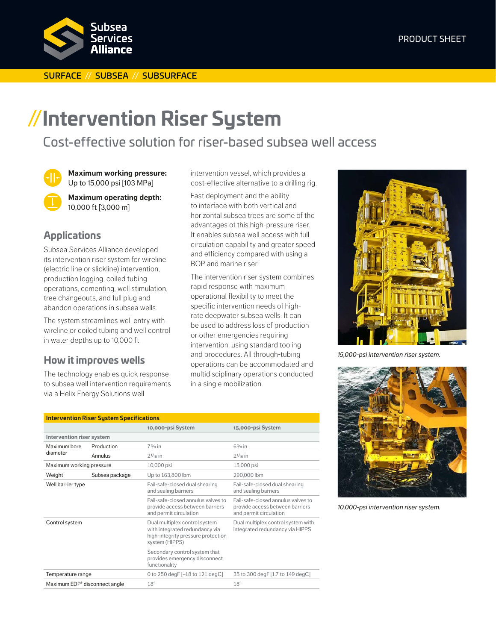#### SURFACE // SUBSEA // SUBSURFACE

# **//Intervention Riser System**

# Cost-effective solution for riser-based subsea well access

**Maximum working pressure:** Up to 15,000 psi [103 MPa]

**Maximum operating depth:** 10,000 ft [3,000 m]

# **Applications**

Subsea Services Alliance developed its intervention riser system for wireline (electric line or slickline) intervention, production logging, coiled tubing operations, cementing, well stimulation, tree changeouts, and full plug and abandon operations in subsea wells.

The system streamlines well entry with wireline or coiled tubing and well control in water depths up to 10,000 ft.

## **How it improves wells**

The technology enables quick response to subsea well intervention requirements via a Helix Energy Solutions well

intervention vessel, which provides a cost-effective alternative to a drilling rig.

Fast deployment and the ability to interface with both vertical and horizontal subsea trees are some of the advantages of this high-pressure riser. It enables subsea well access with full circulation capability and greater speed and efficiency compared with using a BOP and marine riser.

The intervention riser system combines rapid response with maximum operational flexibility to meet the specific intervention needs of highrate deepwater subsea wells. It can be used to address loss of production or other emergencies requiring intervention, using standard tooling and procedures. All through-tubing operations can be accommodated and multidisciplinary operations conducted in a single mobilization.

| <b>Intervention Riser System Specifications</b> |                |                                                                                                                         |                                                                                                 |  |  |
|-------------------------------------------------|----------------|-------------------------------------------------------------------------------------------------------------------------|-------------------------------------------------------------------------------------------------|--|--|
|                                                 |                | 10,000-psi System                                                                                                       | 15,000-psi System                                                                               |  |  |
| Intervention riser system                       |                |                                                                                                                         |                                                                                                 |  |  |
| Maximum bore<br>diameter                        | Production     | $73/s$ in                                                                                                               | $6\frac{3}{8}$ in                                                                               |  |  |
|                                                 | Annulus        | $2\frac{1}{16}$ in                                                                                                      | $2\frac{1}{16}$ in                                                                              |  |  |
| Maximum working pressure                        |                | 10,000 psi                                                                                                              | 15,000 psi                                                                                      |  |  |
| Weight                                          | Subsea package | Up to 163,800 lbm                                                                                                       | 290,000 lbm                                                                                     |  |  |
| Well barrier type                               |                | Fail-safe-closed dual shearing<br>and sealing barriers                                                                  | Fail-safe-closed dual shearing<br>and sealing barriers                                          |  |  |
|                                                 |                | Fail-safe-closed annulus valves to<br>provide access between barriers<br>and permit circulation                         | Fail-safe-closed annulus valves to<br>provide access between barriers<br>and permit circulation |  |  |
| Control system                                  |                | Dual multiplex control system<br>with integrated redundancy via<br>high-integrity pressure protection<br>system (HIPPS) | Dual multiplex control system with<br>integrated redundancy via HIPPS                           |  |  |
|                                                 |                | Secondary control system that<br>provides emergency disconnect<br>functionality                                         |                                                                                                 |  |  |
| Temperature range                               |                | 0 to 250 degF [-18 to 121 degC]                                                                                         | 35 to 300 degF [1.7 to 149 degC]                                                                |  |  |
| Maximum EDP <sup>+</sup> disconnect angle       |                | $18^\circ$                                                                                                              | $18^\circ$                                                                                      |  |  |



*15,000-psi intervention riser system.*



*10,000-psi intervention riser system.*